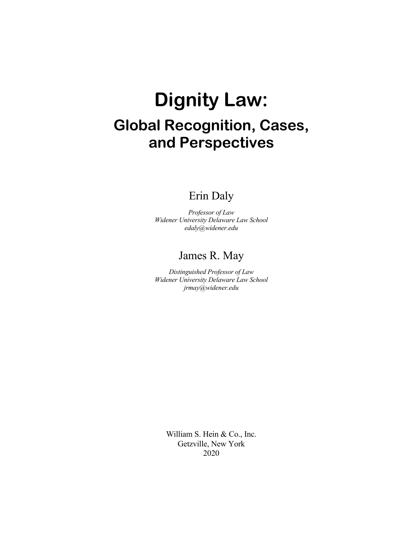# **Dignity Law: Global Recognition, Cases, and Perspectives**

### Erin Daly

*Professor of Law Widener University Delaware Law School edaly@widener.edu* 

### James R. May

*Distinguished Professor of Law Widener University Delaware Law School jrmay@widener.edu* 

> William S. Hein & Co., Inc. Getzville, New York 2020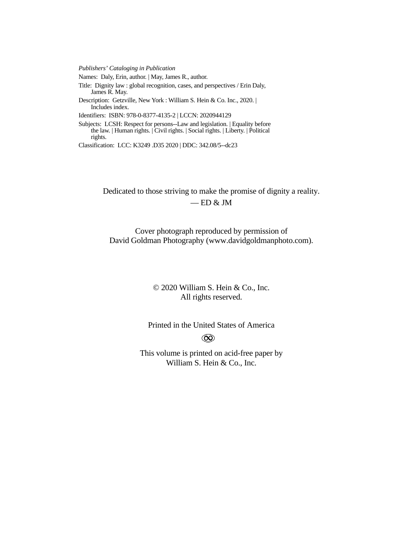*Publishers' Cataloging in Publication*

Names: Daly, Erin, author. | May, James R., author.

Title: Dignity law : global recognition, cases, and perspectives / Erin Daly, James R. May.

Description: Getzville, New York : William S. Hein & Co. Inc., 2020. | Includes index.

Identifiers: ISBN: 978-0-8377-4135-2 | LCCN: 2020944129

Subjects: LCSH: Respect for persons--Law and legislation. | Equality before the law. | Human rights. | Civil rights. | Social rights. | Liberty. | Political rights.

Classification: LCC: K3249 .D35 2020 | DDC: 342.08/5--dc23

Dedicated to those striving to make the promise of dignity a reality.  $-$  ED & JM

Cover photograph reproduced by permission of David Goldman Photography (www.davidgoldmanphoto.com).

### © 2020 William S. Hein & Co., Inc. All rights reserved.

Printed in the United States of America  $\circledcirc$ 

This volume is printed on acid-free paper by William S. Hein & Co., Inc.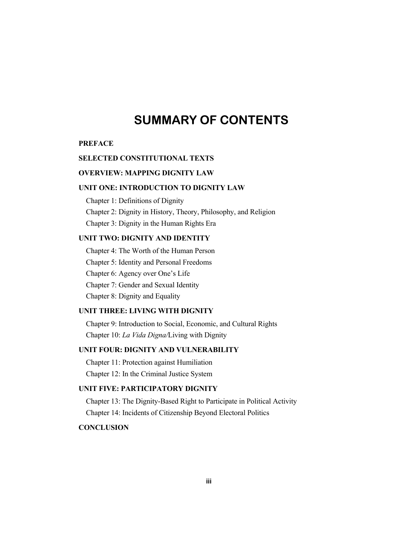### **SUMMARY OF CONTENTS**

#### **PREFACE**

#### **SELECTED CONSTITUTIONAL TEXTS**

#### **OVERVIEW: MAPPING DIGNITY LAW**

#### **UNIT ONE: INTRODUCTION TO DIGNITY LAW**

Chapter 1: Definitions of Dignity

Chapter 2: Dignity in History, Theory, Philosophy, and Religion

Chapter 3: Dignity in the Human Rights Era

#### **UNIT TWO: DIGNITY AND IDENTITY**

Chapter 4: The Worth of the Human Person Chapter 5: Identity and Personal Freedoms Chapter 6: Agency over One's Life Chapter 7: Gender and Sexual Identity Chapter 8: Dignity and Equality

#### **UNIT THREE: LIVING WITH DIGNITY**

Chapter 9: Introduction to Social, Economic, and Cultural Rights Chapter 10: *La Vida Digna/*Living with Dignity

#### **UNIT FOUR: DIGNITY AND VULNERABILITY**

Chapter 11: Protection against Humiliation Chapter 12: In the Criminal Justice System

#### **UNIT FIVE: PARTICIPATORY DIGNITY**

Chapter 13: The Dignity-Based Right to Participate in Political Activity Chapter 14: Incidents of Citizenship Beyond Electoral Politics

### **CONCLUSION**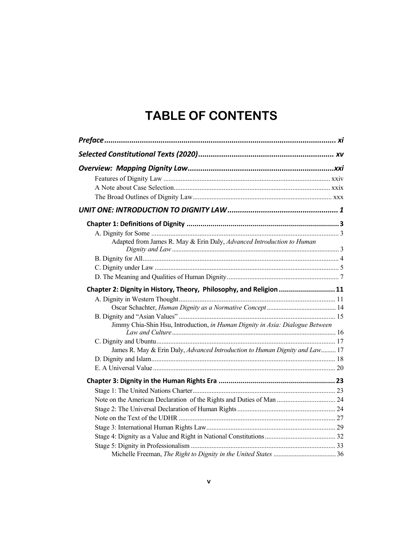## **TABLE OF CONTENTS**

| Adapted from James R. May & Erin Daly, Advanced Introduction to Human         |  |
|-------------------------------------------------------------------------------|--|
|                                                                               |  |
|                                                                               |  |
|                                                                               |  |
| Chapter 2: Dignity in History, Theory, Philosophy, and Religion 11            |  |
|                                                                               |  |
|                                                                               |  |
|                                                                               |  |
| Jimmy Chia-Shin Hsu, Introduction, in Human Dignity in Asia: Dialogue Between |  |
|                                                                               |  |
| James R. May & Erin Daly, Advanced Introduction to Human Dignity and Law 17   |  |
|                                                                               |  |
|                                                                               |  |
|                                                                               |  |
|                                                                               |  |
|                                                                               |  |
|                                                                               |  |
|                                                                               |  |
|                                                                               |  |
|                                                                               |  |
|                                                                               |  |
|                                                                               |  |
|                                                                               |  |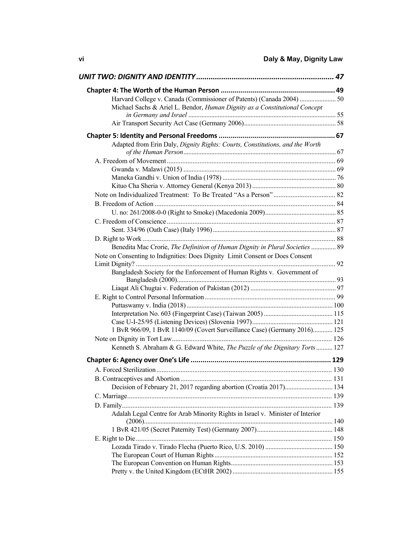| Michael Sachs & Ariel L. Bendor, Human Dignity as a Constitutional Concept     |  |
|--------------------------------------------------------------------------------|--|
|                                                                                |  |
|                                                                                |  |
|                                                                                |  |
| Adapted from Erin Daly, Dignity Rights: Courts, Constitutions, and the Worth   |  |
|                                                                                |  |
|                                                                                |  |
|                                                                                |  |
|                                                                                |  |
|                                                                                |  |
|                                                                                |  |
|                                                                                |  |
|                                                                                |  |
|                                                                                |  |
|                                                                                |  |
|                                                                                |  |
| Benedita Mac Crorie, The Definition of Human Dignity in Plural Societies  89   |  |
| Note on Consenting to Indignities: Does Dignity Limit Consent or Does Consent  |  |
|                                                                                |  |
| Bangladesh Society for the Enforcement of Human Rights v. Government of        |  |
|                                                                                |  |
|                                                                                |  |
|                                                                                |  |
|                                                                                |  |
|                                                                                |  |
| 1 BvR 966/09, 1 BvR 1140/09 (Covert Surveillance Case) (Germany 2016) 125      |  |
|                                                                                |  |
| Kenneth S. Abraham & G. Edward White, The Puzzle of the Dignitary Torts  127   |  |
|                                                                                |  |
|                                                                                |  |
|                                                                                |  |
|                                                                                |  |
| Decision of February 21, 2017 regarding abortion (Croatia 2017) 134            |  |
|                                                                                |  |
|                                                                                |  |
| Adalah Legal Centre for Arab Minority Rights in Israel v. Minister of Interior |  |
|                                                                                |  |
|                                                                                |  |
|                                                                                |  |
|                                                                                |  |
|                                                                                |  |
|                                                                                |  |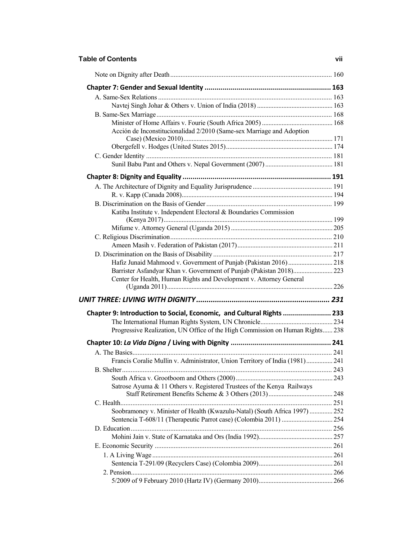#### **Table of Contents vii**

| Acción de Inconstitucionalidad 2/2010 (Same-sex Marriage and Adoption         |  |
|-------------------------------------------------------------------------------|--|
|                                                                               |  |
|                                                                               |  |
|                                                                               |  |
|                                                                               |  |
|                                                                               |  |
|                                                                               |  |
|                                                                               |  |
| Katiba Institute v. Independent Electoral & Boundaries Commission             |  |
|                                                                               |  |
|                                                                               |  |
|                                                                               |  |
|                                                                               |  |
| Hafiz Junaid Mahmood v. Government of Punjab (Pakistan 2016)  218             |  |
| Barrister Asfandyar Khan v. Government of Punjab (Pakistan 2018) 223          |  |
| Center for Health, Human Rights and Development v. Attorney General           |  |
|                                                                               |  |
| Chapter 9: Introduction to Social, Economic, and Cultural Rights  233         |  |
|                                                                               |  |
| Progressive Realization, UN Office of the High Commission on Human Rights 238 |  |
|                                                                               |  |
|                                                                               |  |
| Francis Coralie Mullin v. Administrator, Union Territory of India (1981) 241  |  |
|                                                                               |  |
|                                                                               |  |
| Satrose Ayuma & 11 Others v. Registered Trustees of the Kenya Railways        |  |
|                                                                               |  |
| Soobramoney v. Minister of Health (Kwazulu-Natal) (South Africa 1997)  252    |  |
|                                                                               |  |
|                                                                               |  |
|                                                                               |  |
|                                                                               |  |
|                                                                               |  |
|                                                                               |  |
|                                                                               |  |
|                                                                               |  |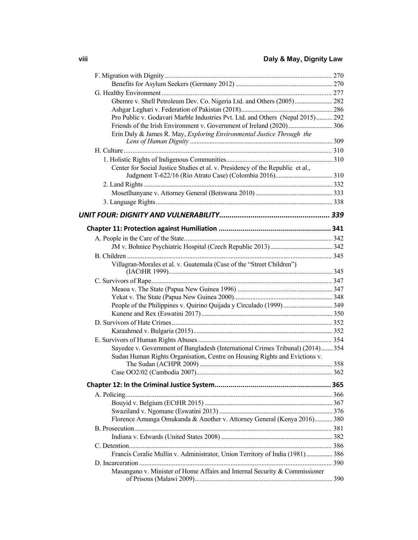| Gbemre v. Shell Petroleum Dev. Co. Nigeria Ltd. and Others (2005) 282          |     |
|--------------------------------------------------------------------------------|-----|
|                                                                                |     |
| Pro Public v. Godavari Marble Industries Pvt. Ltd. and Others (Nepal 2015) 292 |     |
|                                                                                |     |
| Erin Daly & James R. May, Exploring Environmental Justice Through the          |     |
|                                                                                |     |
|                                                                                |     |
|                                                                                |     |
| Center for Social Justice Studies et al. v. Presidency of the Republic et al., |     |
|                                                                                |     |
|                                                                                |     |
|                                                                                |     |
|                                                                                |     |
|                                                                                |     |
|                                                                                |     |
|                                                                                |     |
|                                                                                |     |
|                                                                                |     |
| Villagran-Morales et al. v. Guatemala (Case of the "Street Children")          |     |
|                                                                                |     |
|                                                                                |     |
|                                                                                |     |
|                                                                                |     |
|                                                                                |     |
|                                                                                |     |
|                                                                                |     |
|                                                                                |     |
|                                                                                |     |
| Sayedee v. Government of Bangladesh (International Crimes Tribunal) (2014) 354 |     |
| Sudan Human Rights Organisation, Centre on Housing Rights and Evictions v.     |     |
|                                                                                |     |
|                                                                                |     |
|                                                                                |     |
|                                                                                |     |
|                                                                                |     |
|                                                                                |     |
| Florence Amunga Omukanda & Another v. Attorney General (Kenya 2016) 380        |     |
|                                                                                |     |
|                                                                                |     |
|                                                                                |     |
| Francis Coralie Mullin v. Administrator, Union Territory of India (1981) 386   |     |
|                                                                                |     |
| Masangano v. Minister of Home Affairs and Internal Security & Commissioner     | 390 |
|                                                                                |     |